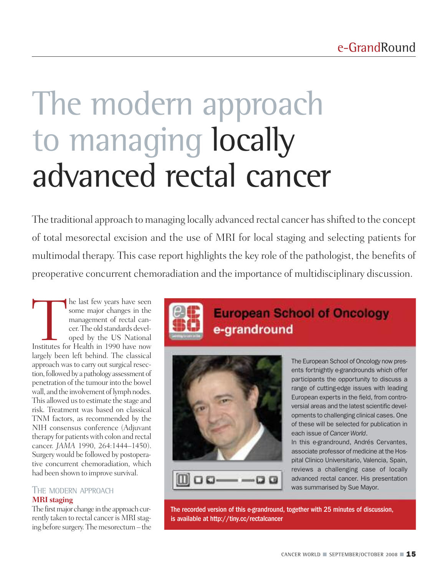# The modern approach to managing locally advanced rectal cancer

The traditional approach to managing locally advanced rectal cancer has shifted to the concept of total mesorectal excision and the use of MRI for local staging and selecting patients for multimodal therapy. This case report highlights the key role of the pathologist, the benefits of preoperative concurrent chemoradiation and the importance of multidisciplinary discussion.

The last few years have seen<br>
some major changes in the<br>
management of rectal can-<br>
cer. The old standards devel-<br>
oped by the US National<br>
Institutes for Health in 1990 have now some major changes in the management of rectal cancer.The old standards developed by the US National largely been left behind. The classical approach was to carry out surgical resection, followed by a pathology assessment of penetration of the tumour into the bowel wall, and the involvement of lymph nodes. This allowed us to estimate the stage and risk. Treatment was based on classical TNM factors, as recommended by the NIH consensus conference (Adjuvant therapy for patients with colon and rectal cancer. *JAMA* 1990, 264:1444–1450). Surgery would be followed by postoperative concurrent chemoradiation, which had been shown to improve survival.

# THE MODERN APPROACH **MRI staging**

The first major change in the approach currently taken to rectal cancer is MRI staging before surgery. The mesorectum – the





e-grandround

The European School of Oncology now presents fortnightly e-grandrounds which offer participants the opportunity to discuss a range of cutting-edge issues with leading European experts in the field, from controversial areas and the latest scientific developments to challenging clinical cases. One of these will be selected for publication in each issue of *Cancer World*.

In this e-grandround, Andrés Cervantes, associate professor of medicine at the Hospital Clinico Universitario, Valencia, Spain, reviews a challenging case of locally advanced rectal cancer. His presentation was summarised by Sue Mayor.

The recorded version of this e-grandround, together with 25 minutes of discussion, is available at http://tiny.cc/rectalcancer

**European School of Oncology**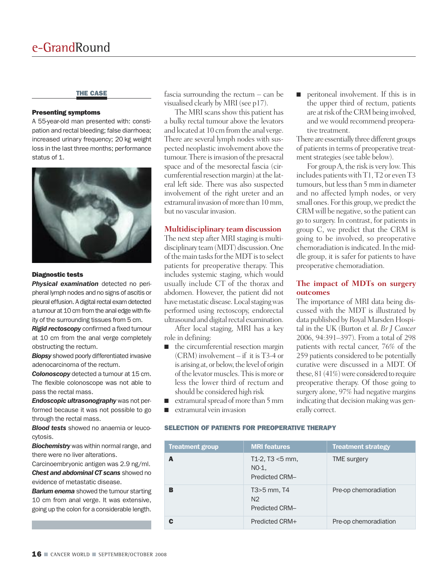#### **THE CASE**

#### **Presenting symptoms**

A 55-year-old man presented with: constipation and rectal bleeding; false diarrhoea; increased urinary frequency; 20 kg weight loss in the last three months; performance status of 1.



#### **Diagnostic tests**

*Physical examination* detected no peripheral lymph nodes and no signs of ascitis or pleural effusion. A digital rectal exam detected a tumour at 10 cm from the anal edge with fixity of the surrounding tissues from 5 cm.

*Rigid rectoscopy* confirmed a fixed tumour at 10 cm from the anal verge completely obstructing the rectum.

*Biopsy* showed poorly differentiated invasive adenocarcinoma of the rectum.

*Colonoscopy* detected a tumour at 15 cm. The flexible colonoscope was not able to pass the rectal mass.

*Endoscopic ultrasonography* was not performed because it was not possible to go through the rectal mass.

*Blood tests* showed no anaemia or leucocytosis.

*Biochemistry* was within normal range, and there were no liver alterations.

Carcinoembryonic antigen was 2.9 ng/ml. *Chest and abdominal CT scans* showed no evidence of metastatic disease.

**Barium enema** showed the tumour starting 10 cm from anal verge. It was extensive, going up the colon for a considerable length.

fascia surrounding the rectum – can be visualised clearly by MRI(see p17).

The MRI scans show this patient has a bulky rectal tumour above the levators and located at 10 cm from the anal verge. There are several lymph nodes with suspected neoplastic involvement above the tumour. There is invasion of the presacral space and of the mesorectal fascia (circumferential resection margin) at the lateral left side. There was also suspected involvement of the right ureter and an extramural invasion of more than 10 mm, but no vascular invasion.

## **Multidisciplinary team discussion**

The next step after MRI staging is multidisciplinary team (MDT) discussion. One of the main tasks for the MDT is to select patients for preoperative therapy. This includes systemic staging, which would usually include CT of the thorax and abdomen. However, the patient did not have metastatic disease. Local staging was performed using rectoscopy, endorectal ultrasound and digital rectal examination.

After local staging, MRI has a key role in defining:

- the circumferential resection margin (CRM) involvement – if it is T3-4 or is arising at, or below, the level of origin of the levator muscles. This is more or less the lower third of rectum and should be considered high risk
- extramural spread of more than 5 mm
- **■** extramural vein invasion

#### **SELECTION OF PATIENTS FOR PREOPERATIVE THERAPY**

| <b>Treatment group</b> | <b>MRI</b> features                                    | <b>Treatment strategy</b> |
|------------------------|--------------------------------------------------------|---------------------------|
| A                      | $T1-2$ , T3 <5 mm,<br>NO-1.<br><b>Predicted CRM-</b>   | <b>TME</b> surgery        |
| в                      | T3>5 mm, T4<br>N <sub>2</sub><br><b>Predicted CRM-</b> | Pre-op chemoradiation     |
| C                      | Predicted CRM+                                         | Pre-op chemoradiation     |

■ peritoneal involvement. If this is in the upper third of rectum, patients are at risk of the CRM being involved, and we would recommend preoperative treatment.

There are essentially three different groups of patients in terms of preoperative treatment strategies (see table below).

For groupA, the risk is very low. This includes patientswith T1, T2 or even T3 tumours, but less than 5 mm in diameter and no affected lymph nodes, or very small ones. For this group, we predict the CRM will be negative, so the patient can go to surgery. In contrast, for patients in group C, we predict that the CRM is going to be involved, so preoperative chemoradiation is indicated. In the middle group, it is safer for patients to have preoperative chemoradiation.

#### **The impact of MDTs on surgery outcomes**

The importance of MRI data being discussed with the MDT is illustrated by data published by Royal Marsden Hospital in the UK (Burton et al. *Br J Cancer* 2006, 94:391–397). From a total of 298 patients with rectal cancer, 76% of the 259 patients considered to be potentially curative were discussed in a MDT. Of these,  $81(41%)$  were considered to require preoperative therapy. Of those going to surgery alone, 97% had negative margins indicating that decision making was generally correct.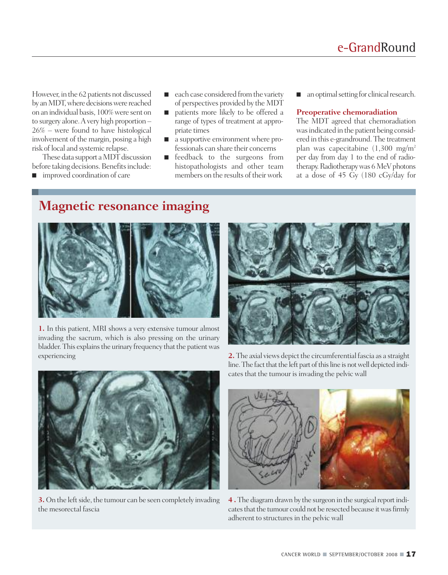However, in the 62 patients not discussed by an MDT, where decisions were reached on an individual basis, 100%were sent on to surgery alone.A very high proportion – 26% – were found to have histological involvement of the margin, posing a high risk of local and systemic relapse.

These data support a MDT discussion before taking decisions. Benefits include:

■ improved coordination of care

- each case considered from the variety of perspectives provided by the MDT
- patients more likely to be offered a range of types of treatment at appropriate times
- a supportive environment where professionals can share their concerns
- feedback to the surgeons from histopathologists and other team members on the results of their work
- an optimal setting for clinical research.

#### **Preoperative chemoradiation**

The MDT agreed that chemoradiation was indicated in the patient being considered in this e-grandround. The treatment plan was capecitabine (1,300 mg/m2 per day from day 1 to the end of radiotherapy. Radiotherapy was 6 MeV photons at a dose of 45 Gy (180 cGy/day for

# **Magnetic resonance imaging**



**1.** In this patient, MRI shows a very extensive tumour almost invading the sacrum, which is also pressing on the urinary bladder. This explains the urinary frequency that the patient was experiencing **2.** The axial views depict the circumferential fascia as a straight





**3.** On the left side, the tumour can be seen completely invading the mesorectal fascia

line. The fact that the left part of this line is not well depicted indicates that the tumour is invading the pelvic wall



**4 .** The diagram drawn by the surgeon in the surgical report indicates that the tumour could not be resected because it was firmly adherent to structures in the pelvic wall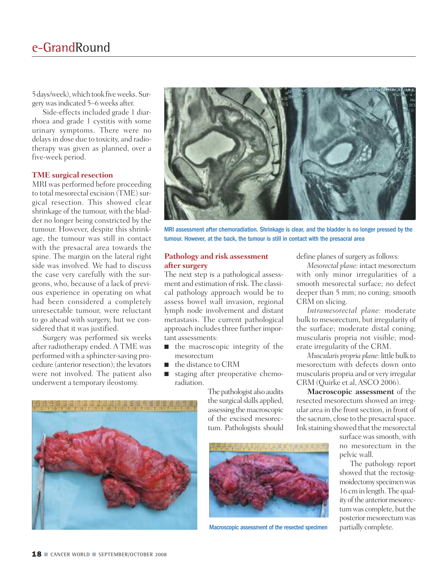5days/week),which took fiveweeks. Surgerywasindicated 5–6weeks after.

Side-effects included grade 1 diarrhoea and grade 1 cystitis with some urinary symptoms. There were no delays in dose due to toxicity, and radiotherapy was given as planned, over a five-week period.

#### **TME surgical resection**

MRI was performed before proceeding to total mesorectal excision (TME) surgical resection. This showed clear shrinkage of the tumour, with the bladder no longer being constricted by the tumour. However, despite this shrinkage, the tumour was still in contact with the presacral area towards the spine. The margin on the lateral right side was involved. We had to discuss the case very carefully with the surgeons, who, because of a lack of previous experience in operating on what had been considered a completely unresectable tumour, were reluctant to go ahead with surgery, but we considered that it was justified.

Surgery was performed six weeks after radiotherapy ended. A TME was performed with a sphincter-saving procedure (anterior resection); the levators were not involved. The patient also underwent a temporary ileostomy.



MRI assessment after chemoradiation. Shrinkage is clear, and the bladder is no longer pressed by the tumour. However, at the back, the tumour is still in contact with the presacral area

#### **Pathology and risk assessment after surgery**

The next step is a pathological assessment and estimation of risk. The classical pathology approach would be to assess bowel wall invasion, regional lymph node involvement and distant metastasis. The current pathological approach includes three further important assessments:

- the macroscopic integrity of the mesorectum
- the distance to CRM
- staging after preoperative chemoradiation.

The pathologist also audits the surgical skills applied, assessing the macroscopic of the excised mesorectum. Pathologists should

define planes of surgery as follows:

*Mesorectal plane:* intact mesorectum with only minor irregularities of a smooth mesorectal surface; no defect deeper than 5 mm; no coning; smooth CRM on slicing.

*Intramesorectal plane:* moderate bulk to mesorectum, but irregularity of the surface; moderate distal coning; muscularis propria not visible; moderate irregularity of the CRM.

*Muscularis propria plane:* little bulk to mesorectum with defects down onto muscularis propria and or very irregular CRM (Quirke et al,ASCO 2006).

**Macroscopic assessment** of the resected mesorectum showed an irregular area in the front section, in front of the sacrum, close to the presacral space. Ink staining showed that the mesorectal

surface was smooth, with no mesorectum in the pelvic wall.

The pathology report showed that the rectosigmoidectomy specimenwas 16 cmin length.The quality of the anterior mesorectum was complete, but the posterior mesorectum was





Macroscopic assessment of the resected specimen partially complete.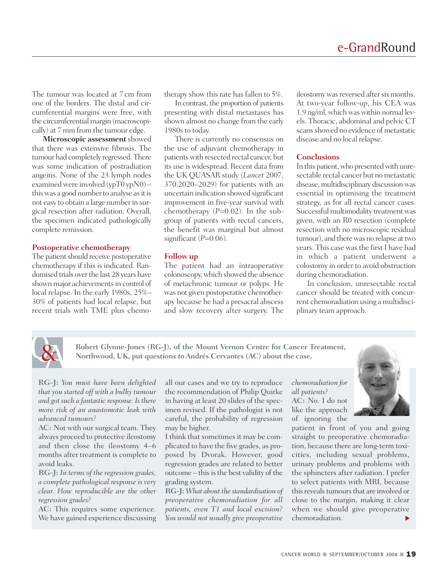The tumour was located at 7cm from one of the borders. The distal and circumferential margins were free, with the circumferential margin (macroscopically) at 7mm from the tumour edge.

**Microscopic assessment**showed that there was extensive fibrosis. The tumour had completely regressed.There was some indication of postradiation angeitis. None of the 23 lymph nodes examined were involved (ypT0 ypN0) – this was a good number to analyse as it is not easy to obtain a large numberin surgical resection after radiation. Overall, the specimen indicated pathologically complete remission.

# **Postoperative chemotherapy**

The patient should receive postoperative chemotherapy if this is indicated. Randomised trials over the last 28 years have shown major achievements in control of local relapse. In the early 1980s, 25%– 30% of patients had local relapse, but recent trials with TME plus chemotherapy show this rate has fallen to 5%.

In contrast, the proportion of patients presenting with distal metastases has shown almost no change from the early 1980s to today.

There is currently no consensus on the use of adjuvant chemotherapy in patients with resected rectal cancer, but its use is widespread. Recent data from the UK QUASAR study (*Lancet* 2007, 370:2020–2029) for patients with an uncertain indication showed significant improvement in five-year survival with chemotherapy (*P*=0.02). In the subgroup of patients with rectal cancers, the benefit was marginal but almost significant (*P*=0.06).

#### **Follow up**

The patient had an intraoperative colonoscopy,which showed the absence of metachronic tumour or polyps. He was not given postoperative chemotherapy because he had a presacral abscess and slow recovery after surgery. The

ileostomy was reversed after six months. At two-year follow-up, his CEA was 1.9 ng/ml, which was within normal levels. Thoracic, abdominal and pelvic CT scans showed no evidence of metastatic disease and no local relapse.

## **Conclusions**

In this patient, who presented with unresectable rectal cancer but no metastatic disease, multidisciplinary discussion was essential in optimising the treatment strategy, as for all rectal cancer cases. Successful multimodality treatment was given, with an R0 resection (complete resection with no microscopic residual tumour), and there was no relapse at two years. This case was the first I have had in which a patient underwent a colostomy in order to avoid obstruction during chemoradiation.

In conclusion, unresectable rectal cancer should be treated with concurrent chemoradiation using a multidisciplinary team approach.



**Robert Glynne-Jones (RG-J), of the Mount Vernon Centre for Cancer Treatment, Northwood, UK, put questions toAndrés Cervantes (AC) about the case.**

**RG-J:** *You must have been delighted that you started off with a bulky tumour and got such a fantastic response. Is there more risk of an anastomotic leak with advanced tumours?*

**AC:** Not with our surgical team. They always proceed to protective ileostomy and then close the ileostomy 4–6 months after treatment is complete to avoid leaks.

**RG-J:** *In terms of the regression grades, a complete pathological response is very clear. How reproducible are the other regression grades?*

**AC:** This requires some experience. We have gained experience discussing all our cases and we try to reproduce the recommendation of Philip Quirke in having at least 20 slides of the specimen revised. If the pathologist is not careful, the probability of regression may be higher.

I think that sometimes it may be complicated to have the five grades, as proposed by Dvorak. However, good regression grades are related to better outcome – this is the best validity of the grading system.

**RG-J:** *What about the standardisation of preoperative chemoradiation for all patients, even T1 and local excision? You would not usually give preoperative*

*chemoradiation for all patients?* **AC:** No. I do not like the approach of ignoring the



patient in front of you and going straight to preoperative chemoradiation, because there are long-term toxicities, including sexual problems, urinary problems and problems with the sphincters after radiation. I prefer to select patients with MRI, because this reveals tumours that are involved or close to the margin, making it clear when we should give preoperative **chemoradiation.** ●